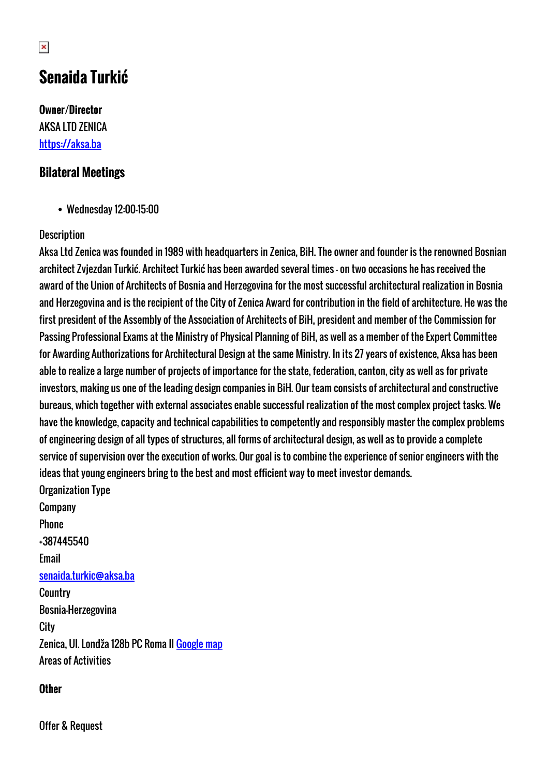# **Senaida Turkić**

**Owner/Director** AKSA LTD ZENICA <https://aksa.ba>

### **Bilateral Meetings**

Wednesday 12:00-15:00

#### **Description**

Aksa Ltd Zenica was founded in 1989 with headquarters in Zenica, BiH. The owner and founder is the renowned Bosnian architect Zvjezdan Turkić. Architect Turkić has been awarded several times - on two occasions he has received the award of the Union of Architects of Bosnia and Herzegovina for the most successful architectural realization in Bosnia and Herzegovina and is the recipient of the City of Zenica Award for contribution in the field of architecture. He was the first president of the Assembly of the Association of Architects of BiH, president and member of the Commission for Passing Professional Exams at the Ministry of Physical Planning of BiH, as well as a member of the Expert Committee for Awarding Authorizations for Architectural Design at the same Ministry. In its 27 years of existence, Aksa has been able to realize a large number of projects of importance for the state, federation, canton, city as well as for private investors, making us one of the leading design companies in BiH. Our team consists of architectural and constructive bureaus, which together with external associates enable successful realization of the most complex project tasks. We have the knowledge, capacity and technical capabilities to competently and responsibly master the complex problems of engineering design of all types of structures, all forms of architectural design, as well as to provide a complete service of supervision over the execution of works. Our goal is to combine the experience of senior engineers with the ideas that young engineers bring to the best and most efficient way to meet investor demands. Organization Type

Company Phone +387445540 Email [senaida.turkic@aksa.ba](mailto:senaida.turkic@aksa.ba) **Country** Bosnia-Herzegovina **City** Zenica, Ul. Londža 128b PC Roma II [Google map](http://womenentrepreneurs3.talkb2b.net/home/map?city=Zenica&address=Ul. Londža 128b PC Roma II) Areas of Activities

#### **Other**

Offer & Request